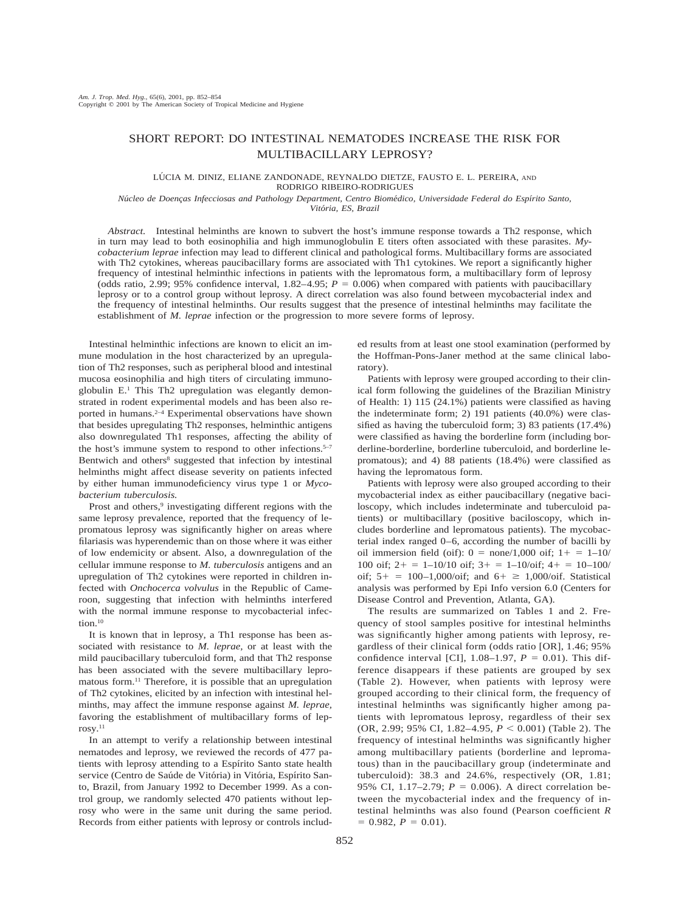## SHORT REPORT: DO INTESTINAL NEMATODES INCREASE THE RISK FOR MULTIBACILLARY LEPROSY?

## LÚCIA M. DINIZ, ELIANE ZANDONADE, REYNALDO DIETZE, FAUSTO E. L. PEREIRA, AND RODRIGO RIBEIRO-RODRIGUES

*Nu´cleo de Doenc¸as Infecciosas and Pathology Department, Centro Biome´dico, Universidade Federal do Espı´rito Santo, Vito´ria, ES, Brazil*

*Abstract.* Intestinal helminths are known to subvert the host's immune response towards a Th2 response, which in turn may lead to both eosinophilia and high immunoglobulin E titers often associated with these parasites. *Mycobacterium leprae* infection may lead to different clinical and pathological forms. Multibacillary forms are associated with Th2 cytokines, whereas paucibacillary forms are associated with Th1 cytokines. We report a significantly higher frequency of intestinal helminthic infections in patients with the lepromatous form, a multibacillary form of leprosy (odds ratio, 2.99; 95% confidence interval,  $1.82-4.95$ ;  $P = 0.006$ ) when compared with patients with paucibacillary leprosy or to a control group without leprosy. A direct correlation was also found between mycobacterial index and the frequency of intestinal helminths. Our results suggest that the presence of intestinal helminths may facilitate the establishment of *M. leprae* infection or the progression to more severe forms of leprosy.

Intestinal helminthic infections are known to elicit an immune modulation in the host characterized by an upregulation of Th2 responses, such as peripheral blood and intestinal mucosa eosinophilia and high titers of circulating immunoglobulin E.1 This Th2 upregulation was elegantly demonstrated in rodent experimental models and has been also reported in humans.2–4 Experimental observations have shown that besides upregulating Th2 responses, helminthic antigens also downregulated Th1 responses, affecting the ability of the host's immune system to respond to other infections.<sup>5-7</sup> Bentwich and others<sup>8</sup> suggested that infection by intestinal helminths might affect disease severity on patients infected by either human immunodeficiency virus type 1 or *Mycobacterium tuberculosis.*

Prost and others,<sup>9</sup> investigating different regions with the same leprosy prevalence, reported that the frequency of lepromatous leprosy was significantly higher on areas where filariasis was hyperendemic than on those where it was either of low endemicity or absent. Also, a downregulation of the cellular immune response to *M. tuberculosis* antigens and an upregulation of Th2 cytokines were reported in children infected with *Onchocerca volvulus* in the Republic of Cameroon, suggesting that infection with helminths interfered with the normal immune response to mycobacterial infection.<sup>10</sup>

It is known that in leprosy, a Th1 response has been associated with resistance to *M. leprae,* or at least with the mild paucibacillary tuberculoid form, and that Th2 response has been associated with the severe multibacillary lepromatous form.11 Therefore, it is possible that an upregulation of Th2 cytokines, elicited by an infection with intestinal helminths, may affect the immune response against *M. leprae,* favoring the establishment of multibacillary forms of leprosy.11

In an attempt to verify a relationship between intestinal nematodes and leprosy, we reviewed the records of 477 patients with leprosy attending to a Espírito Santo state health service (Centro de Saúde de Vitória) in Vitória, Espírito Santo, Brazil, from January 1992 to December 1999. As a control group, we randomly selected 470 patients without leprosy who were in the same unit during the same period. Records from either patients with leprosy or controls included results from at least one stool examination (performed by the Hoffman-Pons-Janer method at the same clinical laboratory).

Patients with leprosy were grouped according to their clinical form following the guidelines of the Brazilian Ministry of Health: 1) 115 (24.1%) patients were classified as having the indeterminate form; 2) 191 patients (40.0%) were classified as having the tuberculoid form; 3) 83 patients (17.4%) were classified as having the borderline form (including borderline-borderline, borderline tuberculoid, and borderline lepromatous); and 4) 88 patients (18.4%) were classified as having the lepromatous form.

Patients with leprosy were also grouped according to their mycobacterial index as either paucibacillary (negative baciloscopy, which includes indeterminate and tuberculoid patients) or multibacillary (positive baciloscopy, which includes borderline and lepromatous patients). The mycobacterial index ranged 0–6, according the number of bacilli by oil immersion field (oif):  $0 = \text{none}/1,000$  oif;  $1 + 1 = -10/1$ 100 oif;  $2+ = 1-10/10$  oif;  $3+ = 1-10/0$ if;  $4+ = 10-100/0$ oif;  $5+ = 100-1,000/\text{oif}$ ; and  $6+ \ge 1,000/\text{oif}$ . Statistical analysis was performed by Epi Info version 6.0 (Centers for Disease Control and Prevention, Atlanta, GA).

The results are summarized on Tables 1 and 2. Frequency of stool samples positive for intestinal helminths was significantly higher among patients with leprosy, regardless of their clinical form (odds ratio [OR], 1.46; 95% confidence interval [CI],  $1.08-1.97$ ,  $P = 0.01$ ). This difference disappears if these patients are grouped by sex (Table 2). However, when patients with leprosy were grouped according to their clinical form, the frequency of intestinal helminths was significantly higher among patients with lepromatous leprosy, regardless of their sex (OR, 2.99; 95% CI, 1.82–4.95,  $P < 0.001$ ) (Table 2). The frequency of intestinal helminths was significantly higher among multibacillary patients (borderline and lepromatous) than in the paucibacillary group (indeterminate and tuberculoid): 38.3 and 24.6%, respectively (OR, 1.81; 95% CI, 1.17–2.79;  $P = 0.006$ ). A direct correlation between the mycobacterial index and the frequency of intestinal helminths was also found (Pearson coefficient *R*  $= 0.982, P = 0.01$ .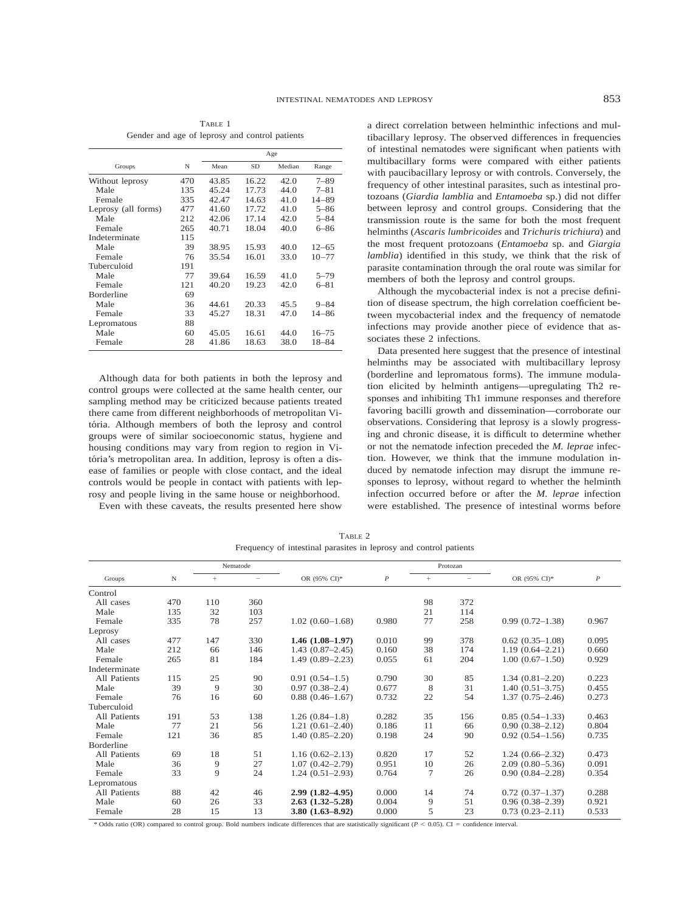|                     |     | Age   |           |        |           |  |
|---------------------|-----|-------|-----------|--------|-----------|--|
| Groups              | N   | Mean  | <b>SD</b> | Median | Range     |  |
| Without leprosy     | 470 | 43.85 | 16.22     | 42.0   | $7 - 89$  |  |
| Male                | 135 | 45.24 | 17.73     | 44.0   | $7 - 81$  |  |
| Female              | 335 | 42.47 | 14.63     | 41.0   | $14 - 89$ |  |
| Leprosy (all forms) | 477 | 41.60 | 17.72     | 41.0   | $5 - 86$  |  |
| Male                | 212 | 42.06 | 17.14     | 42.0   | $5 - 84$  |  |
| Female              | 265 | 40.71 | 18.04     | 40.0   | 6–86      |  |
| Indeterminate       | 115 |       |           |        |           |  |
| Male                | 39  | 38.95 | 15.93     | 40.0   | $12 - 65$ |  |
| Female              | 76  | 35.54 | 16.01     | 33.0   | $10 - 77$ |  |
| Tuberculoid         | 191 |       |           |        |           |  |
| Male                | 77  | 39.64 | 16.59     | 41.0   | $5 - 79$  |  |
| Female              | 121 | 40.20 | 19.23     | 42.0   | $6 - 81$  |  |
| <b>Borderline</b>   | 69  |       |           |        |           |  |
| Male                | 36  | 44.61 | 20.33     | 45.5   | $9 - 84$  |  |
| Female              | 33  | 45.27 | 18.31     | 47.0   | 14–86     |  |
| Lepromatous         | 88  |       |           |        |           |  |
| Male                | 60  | 45.05 | 16.61     | 44.0   | $16 - 75$ |  |
| Female              | 28  | 41.86 | 18.63     | 38.0   | 18-84     |  |
|                     |     |       |           |        |           |  |

TABLE 1 Gender and age of leprosy and control patients

Although data for both patients in both the leprosy and control groups were collected at the same health center, our sampling method may be criticized because patients treated there came from different neighborhoods of metropolitan Vitória. Although members of both the leprosy and control groups were of similar socioeconomic status, hygiene and housing conditions may vary from region to region in Vitória's metropolitan area. In addition, leprosy is often a disease of families or people with close contact, and the ideal controls would be people in contact with patients with leprosy and people living in the same house or neighborhood.

Even with these caveats, the results presented here show

a direct correlation between helminthic infections and multibacillary leprosy. The observed differences in frequencies of intestinal nematodes were significant when patients with multibacillary forms were compared with either patients with paucibacillary leprosy or with controls. Conversely, the frequency of other intestinal parasites, such as intestinal protozoans (*Giardia lamblia* and *Entamoeba* sp.) did not differ between leprosy and control groups. Considering that the transmission route is the same for both the most frequent helminths (*Ascaris lumbricoides* and *Trichuris trichiura*) and the most frequent protozoans (*Entamoeba* sp. and *Giargia lamblia*) identified in this study, we think that the risk of parasite contamination through the oral route was similar for members of both the leprosy and control groups.

Although the mycobacterial index is not a precise definition of disease spectrum, the high correlation coefficient between mycobacterial index and the frequency of nematode infections may provide another piece of evidence that associates these 2 infections.

Data presented here suggest that the presence of intestinal helminths may be associated with multibacillary leprosy (borderline and lepromatous forms). The immune modulation elicited by helminth antigens—upregulating Th2 responses and inhibiting Th1 immune responses and therefore favoring bacilli growth and dissemination—corroborate our observations. Considering that leprosy is a slowly progressing and chronic disease, it is difficult to determine whether or not the nematode infection preceded the *M. leprae* infection. However, we think that the immune modulation induced by nematode infection may disrupt the immune responses to leprosy, without regard to whether the helminth infection occurred before or after the *M. leprae* infection were established. The presence of intestinal worms before

| TABLE 2 |                                                                   |  |  |  |  |  |  |  |
|---------|-------------------------------------------------------------------|--|--|--|--|--|--|--|
|         | Frequency of intestinal parasites in leprosy and control patients |  |  |  |  |  |  |  |

|                   |     | Nematode |     |                     |                  | Protozan |     |                     |                  |
|-------------------|-----|----------|-----|---------------------|------------------|----------|-----|---------------------|------------------|
| Groups            | N   | $^{+}$   |     | OR (95% CI)*        | $\boldsymbol{P}$ | $^{+}$   |     | OR (95% CI)*        | $\boldsymbol{P}$ |
| Control           |     |          |     |                     |                  |          |     |                     |                  |
| All cases         | 470 | 110      | 360 |                     |                  | 98       | 372 |                     |                  |
| Male              | 135 | 32       | 103 |                     |                  | 21       | 114 |                     |                  |
| Female            | 335 | 78       | 257 | $1.02(0.60-1.68)$   | 0.980            | 77       | 258 | $0.99(0.72 - 1.38)$ | 0.967            |
| Leprosy           |     |          |     |                     |                  |          |     |                     |                  |
| All cases         | 477 | 147      | 330 | $1.46(1.08-1.97)$   | 0.010            | 99       | 378 | $0.62(0.35-1.08)$   | 0.095            |
| Male              | 212 | 66       | 146 | $1.43(0.87-2.45)$   | 0.160            | 38       | 174 | $1.19(0.64 - 2.21)$ | 0.660            |
| Female            | 265 | 81       | 184 | $1.49(0.89 - 2.23)$ | 0.055            | 61       | 204 | $1.00(0.67-1.50)$   | 0.929            |
| Indeterminate     |     |          |     |                     |                  |          |     |                     |                  |
| All Patients      | 115 | 25       | 90  | $0.91(0.54-1.5)$    | 0.790            | 30       | 85  | $1.34(0.81 - 2.20)$ | 0.223            |
| Male              | 39  | 9        | 30  | $0.97(0.38-2.4)$    | 0.677            | 8        | 31  | $1.40(0.51 - 3.75)$ | 0.455            |
| Female            | 76  | 16       | 60  | $0.88(0.46 - 1.67)$ | 0.732            | 22       | 54  | $1.37(0.75-2.46)$   | 0.273            |
| Tuberculoid       |     |          |     |                     |                  |          |     |                     |                  |
| All Patients      | 191 | 53       | 138 | $1.26(0.84-1.8)$    | 0.282            | 35       | 156 | $0.85(0.54 - 1.33)$ | 0.463            |
| Male              | 77  | 21       | 56  | $1.21(0.61 - 2.40)$ | 0.186            | 11       | 66  | $0.90(0.38 - 2.12)$ | 0.804            |
| Female            | 121 | 36       | 85  | $1.40(0.85-2.20)$   | 0.198            | 24       | 90  | $0.92(0.54-1.56)$   | 0.735            |
| <b>Borderline</b> |     |          |     |                     |                  |          |     |                     |                  |
| All Patients      | 69  | 18       | 51  | $1.16(0.62 - 2.13)$ | 0.820            | 17       | 52  | $1.24(0.66-2.32)$   | 0.473            |
| Male              | 36  | 9        | 27  | $1.07(0.42 - 2.79)$ | 0.951            | 10       | 26  | $2.09(0.80 - 5.36)$ | 0.091            |
| Female            | 33  | 9        | 24  | $1.24(0.51-2.93)$   | 0.764            | 7        | 26  | $0.90(0.84 - 2.28)$ | 0.354            |
| Lepromatous       |     |          |     |                     |                  |          |     |                     |                  |
| All Patients      | 88  | 42       | 46  | $2.99(1.82 - 4.95)$ | 0.000            | 14       | 74  | $0.72(0.37-1.37)$   | 0.288            |
| Male              | 60  | 26       | 33  | $2.63(1.32 - 5.28)$ | 0.004            | 9        | 51  | $0.96(0.38 - 2.39)$ | 0.921            |
| Female            | 28  | 15       | 13  | $3.80(1.63 - 8.92)$ | 0.000            | 5        | 23  | $0.73(0.23 - 2.11)$ | 0.533            |

\* Odds ratio (OR) compared to control group. Bold numbers indicate differences that are statistically significant ( $P < 0.05$ ). CI = confidence interval.